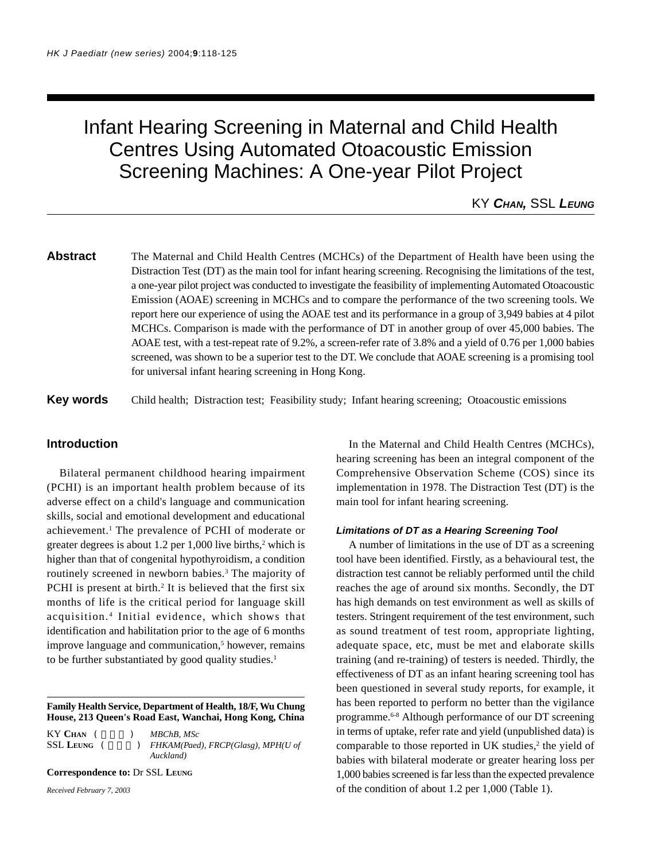# Infant Hearing Screening in Maternal and Child Health Centres Using Automated Otoacoustic Emission Screening Machines: A One-year Pilot Project

# KY *CHAN,* SSL *LEUNG*

**Abstract** The Maternal and Child Health Centres (MCHCs) of the Department of Health have been using the Distraction Test (DT) as the main tool for infant hearing screening. Recognising the limitations of the test, a one-year pilot project was conducted to investigate the feasibility of implementing Automated Otoacoustic Emission (AOAE) screening in MCHCs and to compare the performance of the two screening tools. We report here our experience of using the AOAE test and its performance in a group of 3,949 babies at 4 pilot MCHCs. Comparison is made with the performance of DT in another group of over 45,000 babies. The AOAE test, with a test-repeat rate of 9.2%, a screen-refer rate of 3.8% and a yield of 0.76 per 1,000 babies screened, was shown to be a superior test to the DT. We conclude that AOAE screening is a promising tool for universal infant hearing screening in Hong Kong.

**Key words** Child health; Distraction test; Feasibility study; Infant hearing screening; Otoacoustic emissions

# **Introduction**

Bilateral permanent childhood hearing impairment (PCHI) is an important health problem because of its adverse effect on a child's language and communication skills, social and emotional development and educational achievement.<sup>1</sup> The prevalence of PCHI of moderate or greater degrees is about 1.2 per 1,000 live births, $2$  which is higher than that of congenital hypothyroidism, a condition routinely screened in newborn babies.<sup>3</sup> The majority of PCHI is present at birth.<sup>2</sup> It is believed that the first six months of life is the critical period for language skill acquisition. 4 Initial evidence, which shows that identification and habilitation prior to the age of 6 months improve language and communication,<sup>5</sup> however, remains to be further substantiated by good quality studies.<sup>1</sup>

**Family Health Service, Department of Health, 18/F, Wu Chung House, 213 Queen's Road East, Wanchai, Hong Kong, China**

KY CHAN (  $MBChB, MSc$ SSL LEUNG (  $\qquad$  ) *FHKAM(Paed), FRCP(Glasg), MPH(U of Auckland)*

**Correspondence to:** Dr SSL **LEUNG**

*Received February 7, 2003*

In the Maternal and Child Health Centres (MCHCs), hearing screening has been an integral component of the Comprehensive Observation Scheme (COS) since its implementation in 1978. The Distraction Test (DT) is the main tool for infant hearing screening.

#### *Limitations of DT as a Hearing Screening Tool*

A number of limitations in the use of DT as a screening tool have been identified. Firstly, as a behavioural test, the distraction test cannot be reliably performed until the child reaches the age of around six months. Secondly, the DT has high demands on test environment as well as skills of testers. Stringent requirement of the test environment, such as sound treatment of test room, appropriate lighting, adequate space, etc, must be met and elaborate skills training (and re-training) of testers is needed. Thirdly, the effectiveness of DT as an infant hearing screening tool has been questioned in several study reports, for example, it has been reported to perform no better than the vigilance programme.6-8 Although performance of our DT screening in terms of uptake, refer rate and yield (unpublished data) is comparable to those reported in UK studies,<sup>2</sup> the yield of babies with bilateral moderate or greater hearing loss per 1,000 babies screened is far less than the expected prevalence of the condition of about 1.2 per 1,000 (Table 1).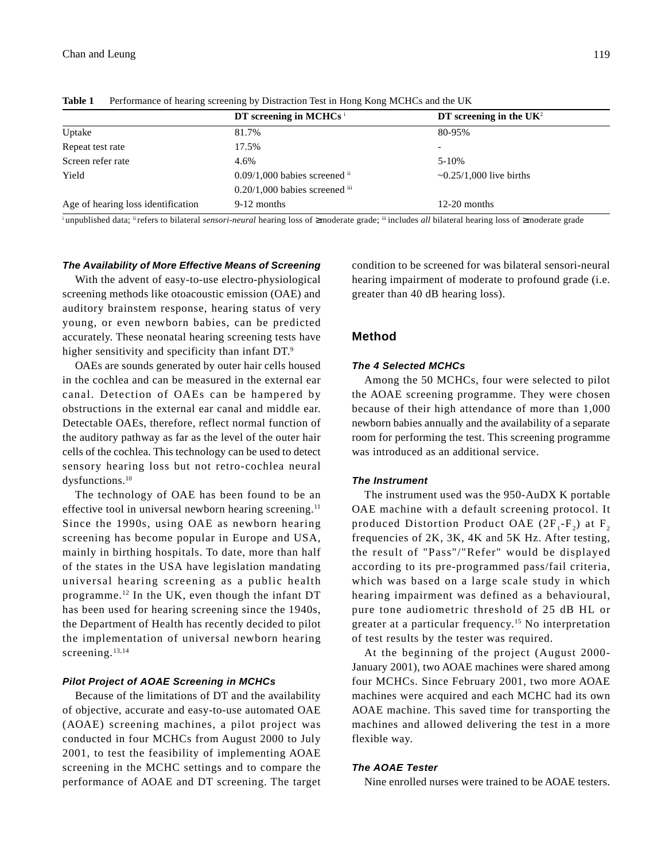|                                    | DT screening in MCHCs <sup>i</sup>            | DT screening in the $UK2$        |
|------------------------------------|-----------------------------------------------|----------------------------------|
| Uptake                             | 81.7%                                         | 80-95%                           |
| Repeat test rate                   | 17.5%                                         | $\overline{\phantom{0}}$         |
| Screen refer rate                  | 4.6%                                          | $5 - 10%$                        |
| Yield                              | $0.09/1,000$ babies screened $\mathrm{^{ii}}$ | $\approx 0.25/1,000$ live births |
|                                    | $0.20/1,000$ babies screened iii              |                                  |
| Age of hearing loss identification | 9-12 months                                   | $12-20$ months                   |

**Table 1** Performance of hearing screening by Distraction Test in Hong Kong MCHCs and the UK

i unpublished data; ii refers to bilateral *sensori-neural* hearing loss of ≥moderate grade; iii includes *all* bilateral hearing loss of ≥moderate grade

#### *The Availability of More Effective Means of Screening*

With the advent of easy-to-use electro-physiological screening methods like otoacoustic emission (OAE) and auditory brainstem response, hearing status of very young, or even newborn babies, can be predicted accurately. These neonatal hearing screening tests have higher sensitivity and specificity than infant DT.<sup>9</sup>

OAEs are sounds generated by outer hair cells housed in the cochlea and can be measured in the external ear canal. Detection of OAEs can be hampered by obstructions in the external ear canal and middle ear. Detectable OAEs, therefore, reflect normal function of the auditory pathway as far as the level of the outer hair cells of the cochlea. This technology can be used to detect sensory hearing loss but not retro-cochlea neural dysfunctions.10

The technology of OAE has been found to be an effective tool in universal newborn hearing screening.<sup>11</sup> Since the 1990s, using OAE as newborn hearing screening has become popular in Europe and USA, mainly in birthing hospitals. To date, more than half of the states in the USA have legislation mandating universal hearing screening as a public health programme.12 In the UK, even though the infant DT has been used for hearing screening since the 1940s, the Department of Health has recently decided to pilot the implementation of universal newborn hearing screening.<sup>13,14</sup>

## *Pilot Project of AOAE Screening in MCHCs*

Because of the limitations of DT and the availability of objective, accurate and easy-to-use automated OAE (AOAE) screening machines, a pilot project was conducted in four MCHCs from August 2000 to July 2001, to test the feasibility of implementing AOAE screening in the MCHC settings and to compare the performance of AOAE and DT screening. The target

condition to be screened for was bilateral sensori-neural hearing impairment of moderate to profound grade (i.e. greater than 40 dB hearing loss).

# **Method**

# *The 4 Selected MCHCs*

Among the 50 MCHCs, four were selected to pilot the AOAE screening programme. They were chosen because of their high attendance of more than 1,000 newborn babies annually and the availability of a separate room for performing the test. This screening programme was introduced as an additional service.

# *The Instrument*

The instrument used was the 950-AuDX K portable OAE machine with a default screening protocol. It produced Distortion Product OAE  $(2F_1-F_2)$  at F<sub>2</sub> frequencies of 2K, 3K, 4K and 5K Hz. After testing, the result of "Pass"/"Refer" would be displayed according to its pre-programmed pass/fail criteria, which was based on a large scale study in which hearing impairment was defined as a behavioural, pure tone audiometric threshold of 25 dB HL or greater at a particular frequency.15 No interpretation of test results by the tester was required.

At the beginning of the project (August 2000- January 2001), two AOAE machines were shared among four MCHCs. Since February 2001, two more AOAE machines were acquired and each MCHC had its own AOAE machine. This saved time for transporting the machines and allowed delivering the test in a more flexible way.

#### *The AOAE Tester*

Nine enrolled nurses were trained to be AOAE testers.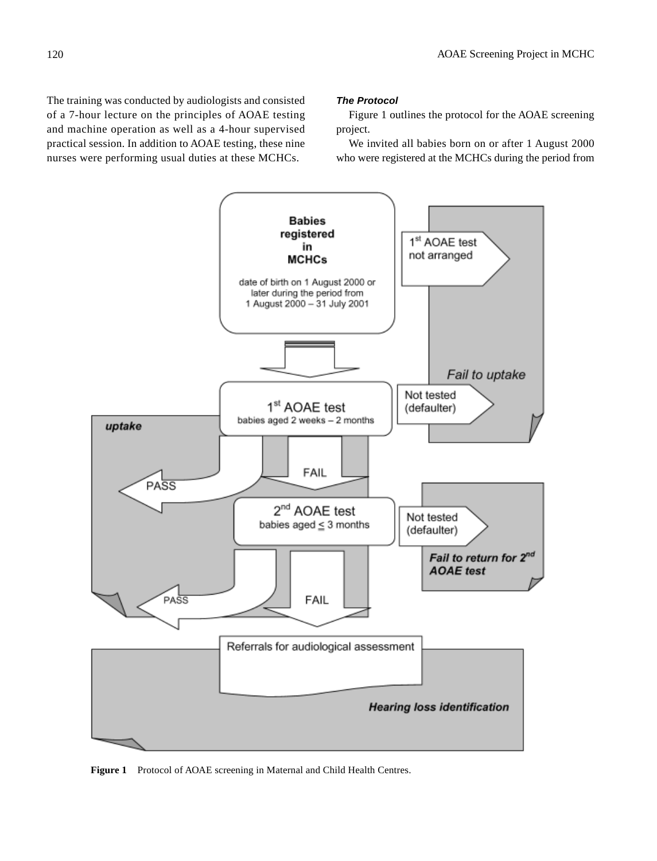The training was conducted by audiologists and consisted of a 7-hour lecture on the principles of AOAE testing and machine operation as well as a 4-hour supervised practical session. In addition to AOAE testing, these nine nurses were performing usual duties at these MCHCs.

#### *The Protocol*

Figure 1 outlines the protocol for the AOAE screening project.

We invited all babies born on or after 1 August 2000 who were registered at the MCHCs during the period from



Figure 1 Protocol of AOAE screening in Maternal and Child Health Centres.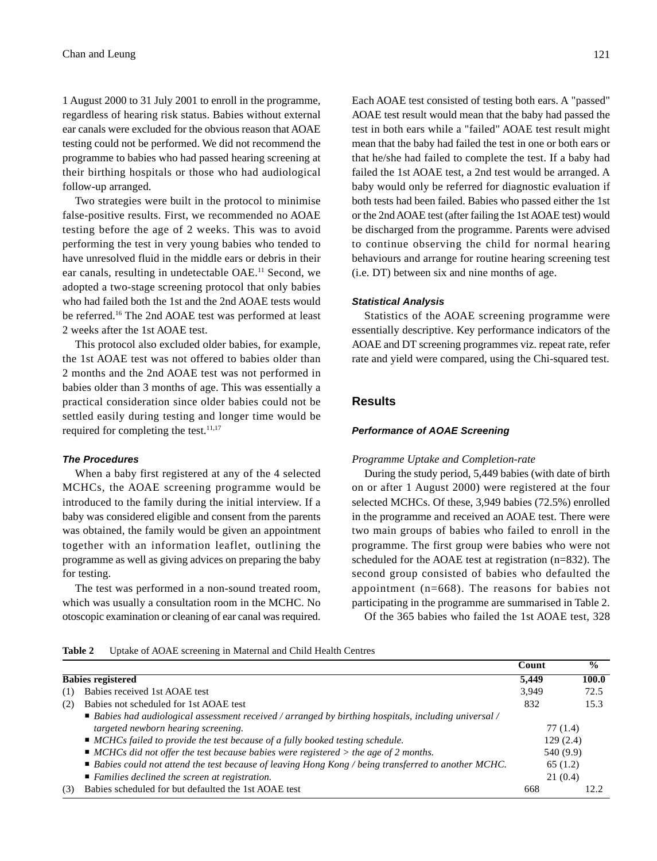1 August 2000 to 31 July 2001 to enroll in the programme, regardless of hearing risk status. Babies without external ear canals were excluded for the obvious reason that AOAE testing could not be performed. We did not recommend the programme to babies who had passed hearing screening at their birthing hospitals or those who had audiological follow-up arranged.

Two strategies were built in the protocol to minimise false-positive results. First, we recommended no AOAE testing before the age of 2 weeks. This was to avoid performing the test in very young babies who tended to have unresolved fluid in the middle ears or debris in their ear canals, resulting in undetectable OAE.11 Second, we adopted a two-stage screening protocol that only babies who had failed both the 1st and the 2nd AOAE tests would be referred.16 The 2nd AOAE test was performed at least 2 weeks after the 1st AOAE test.

This protocol also excluded older babies, for example, the 1st AOAE test was not offered to babies older than 2 months and the 2nd AOAE test was not performed in babies older than 3 months of age. This was essentially a practical consideration since older babies could not be settled easily during testing and longer time would be required for completing the test.<sup>11,17</sup>

### *The Procedures*

When a baby first registered at any of the 4 selected MCHCs, the AOAE screening programme would be introduced to the family during the initial interview. If a baby was considered eligible and consent from the parents was obtained, the family would be given an appointment together with an information leaflet, outlining the programme as well as giving advices on preparing the baby for testing.

The test was performed in a non-sound treated room, which was usually a consultation room in the MCHC. No otoscopic examination or cleaning of ear canal was required. Each AOAE test consisted of testing both ears. A "passed" AOAE test result would mean that the baby had passed the test in both ears while a "failed" AOAE test result might mean that the baby had failed the test in one or both ears or that he/she had failed to complete the test. If a baby had failed the 1st AOAE test, a 2nd test would be arranged. A baby would only be referred for diagnostic evaluation if both tests had been failed. Babies who passed either the 1st or the 2nd AOAE test (after failing the 1st AOAE test) would be discharged from the programme. Parents were advised to continue observing the child for normal hearing behaviours and arrange for routine hearing screening test (i.e. DT) between six and nine months of age.

### *Statistical Analysis*

Statistics of the AOAE screening programme were essentially descriptive. Key performance indicators of the AOAE and DT screening programmes viz. repeat rate, refer rate and yield were compared, using the Chi-squared test.

# **Results**

### *Performance of AOAE Screening*

#### *Programme Uptake and Completion-rate*

During the study period, 5,449 babies (with date of birth on or after 1 August 2000) were registered at the four selected MCHCs. Of these, 3,949 babies (72.5%) enrolled in the programme and received an AOAE test. There were two main groups of babies who failed to enroll in the programme. The first group were babies who were not scheduled for the AOAE test at registration (n=832). The second group consisted of babies who defaulted the appointment (n=668). The reasons for babies not participating in the programme are summarised in Table 2. Of the 365 babies who failed the 1st AOAE test, 328

### **Table 2** Uptake of AOAE screening in Maternal and Child Health Centres

|     |                                                                                                                    | Count    | $\frac{0}{0}$ |
|-----|--------------------------------------------------------------------------------------------------------------------|----------|---------------|
|     | <b>Babies registered</b>                                                                                           | 5,449    | 100.0         |
| (1) | Babies received 1st AOAE test                                                                                      | 3,949    | 72.5          |
| (2) | Babies not scheduled for 1st AOAE test                                                                             | 832      | 15.3          |
|     | $\blacksquare$ Babies had audiological assessment received / arranged by birthing hospitals, including universal / |          |               |
|     | targeted newborn hearing screening.                                                                                |          | 77 (1.4)      |
|     | ■ MCHCs failed to provide the test because of a fully booked testing schedule.                                     |          | 129(2.4)      |
|     | $\blacksquare$ MCHCs did not offer the test because babies were registered > the age of 2 months.                  |          | 540 (9.9)     |
|     | ■ Babies could not attend the test because of leaving Hong Kong / being transferred to another MCHC.               | 65 (1.2) |               |
|     | ■ Families declined the screen at registration.                                                                    |          | 21(0.4)       |
| (3) | Babies scheduled for but defaulted the 1st AOAE test                                                               | 668      | 12.2          |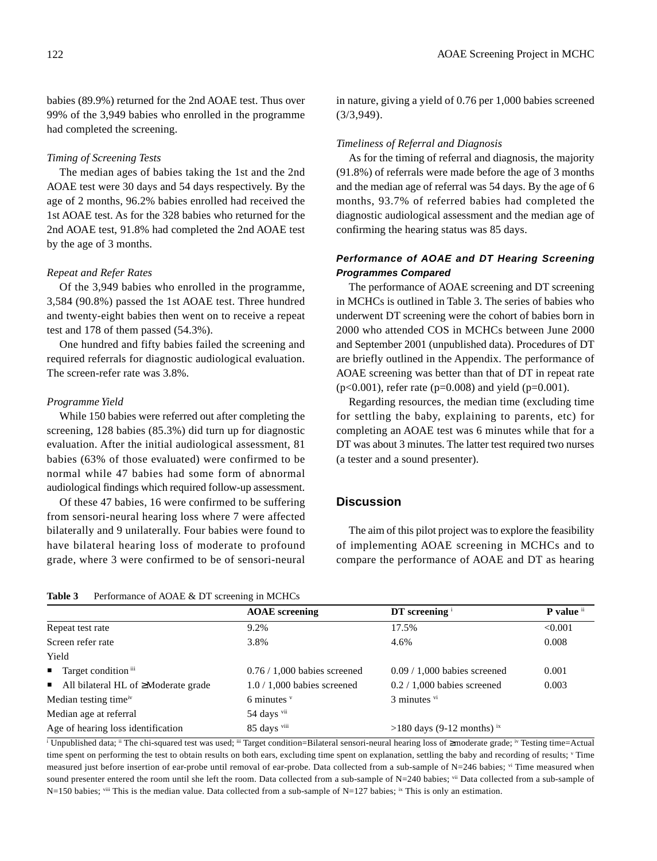# *Timing of Screening Tests*

The median ages of babies taking the 1st and the 2nd AOAE test were 30 days and 54 days respectively. By the age of 2 months, 96.2% babies enrolled had received the 1st AOAE test. As for the 328 babies who returned for the 2nd AOAE test, 91.8% had completed the 2nd AOAE test by the age of 3 months.

## *Repeat and Refer Rates*

Of the 3,949 babies who enrolled in the programme, 3,584 (90.8%) passed the 1st AOAE test. Three hundred and twenty-eight babies then went on to receive a repeat test and 178 of them passed (54.3%).

One hundred and fifty babies failed the screening and required referrals for diagnostic audiological evaluation. The screen-refer rate was 3.8%.

# *Programme Yield*

While 150 babies were referred out after completing the screening, 128 babies (85.3%) did turn up for diagnostic evaluation. After the initial audiological assessment, 81 babies (63% of those evaluated) were confirmed to be normal while 47 babies had some form of abnormal audiological findings which required follow-up assessment.

Of these 47 babies, 16 were confirmed to be suffering from sensori-neural hearing loss where 7 were affected bilaterally and 9 unilaterally. Four babies were found to have bilateral hearing loss of moderate to profound grade, where 3 were confirmed to be of sensori-neural

| <b>Table 3</b> | Performance of AOAE & DT screening in MCHCs |  |
|----------------|---------------------------------------------|--|
|----------------|---------------------------------------------|--|

in nature, giving a yield of 0.76 per 1,000 babies screened (3/3,949).

## *Timeliness of Referral and Diagnosis*

As for the timing of referral and diagnosis, the majority (91.8%) of referrals were made before the age of 3 months and the median age of referral was 54 days. By the age of 6 months, 93.7% of referred babies had completed the diagnostic audiological assessment and the median age of confirming the hearing status was 85 days.

# *Performance of AOAE and DT Hearing Screening Programmes Compared*

The performance of AOAE screening and DT screening in MCHCs is outlined in Table 3. The series of babies who underwent DT screening were the cohort of babies born in 2000 who attended COS in MCHCs between June 2000 and September 2001 (unpublished data). Procedures of DT are briefly outlined in the Appendix. The performance of AOAE screening was better than that of DT in repeat rate  $(p<0.001)$ , refer rate (p=0.008) and yield (p=0.001).

Regarding resources, the median time (excluding time for settling the baby, explaining to parents, etc) for completing an AOAE test was 6 minutes while that for a DT was about 3 minutes. The latter test required two nurses (a tester and a sound presenter).

# **Discussion**

The aim of this pilot project was to explore the feasibility of implementing AOAE screening in MCHCs and to compare the performance of AOAE and DT as hearing

|                                                          | <b>AOAE</b> screening          | $DT$ screening $\frac{1}{2}$          | P value ii |
|----------------------------------------------------------|--------------------------------|---------------------------------------|------------|
| Repeat test rate                                         | 9.2%                           | 17.5%                                 | < 0.001    |
| Screen refer rate                                        | 3.8%                           | 4.6%                                  | 0.008      |
| Yield                                                    |                                |                                       |            |
| $\blacksquare$ Target condition $\mathbf{u}$             | $0.76 / 1,000$ babies screened | $0.09 / 1,000$ babies screened        | 0.001      |
| $\blacksquare$ All bilateral HL of $\geq$ Moderate grade | $1.0 / 1,000$ babies screened  | $0.2 / 1,000$ babies screened         | 0.003      |
| Median testing time <sup>iv</sup>                        | 6 minutes $v$                  | $3$ minutes $\mathrm{v}$ <sup>i</sup> |            |
| Median age at referral                                   | 54 days vii                    |                                       |            |
| Age of hearing loss identification                       | 85 days viii                   | $>180$ days (9-12 months) ix          |            |

i Unpublished data; ii The chi-squared test was used; iii Target condition=Bilateral sensori-neural hearing loss of ≥moderate grade; iv Testing time=Actual time spent on performing the test to obtain results on both ears, excluding time spent on explanation, settling the baby and recording of results; V Time measured just before insertion of ear-probe until removal of ear-probe. Data collected from a sub-sample of N=246 babies; vi Time measured when sound presenter entered the room until she left the room. Data collected from a sub-sample of N=240 babies; vii Data collected from a sub-sample of  $N=150$  babies; viii This is the median value. Data collected from a sub-sample of  $N=127$  babies; ix This is only an estimation.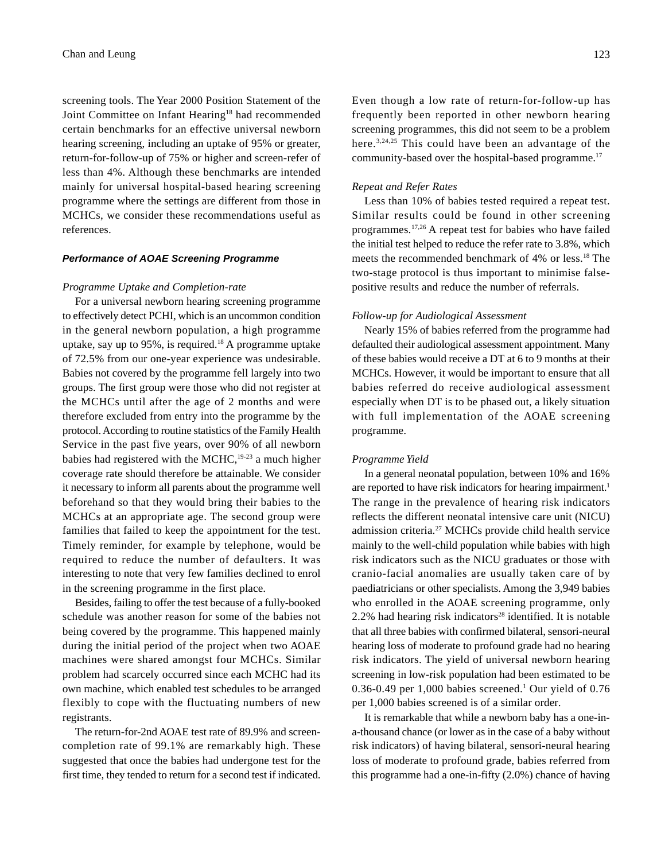screening tools. The Year 2000 Position Statement of the Joint Committee on Infant Hearing<sup>18</sup> had recommended certain benchmarks for an effective universal newborn hearing screening, including an uptake of 95% or greater, return-for-follow-up of 75% or higher and screen-refer of less than 4%. Although these benchmarks are intended mainly for universal hospital-based hearing screening programme where the settings are different from those in MCHCs, we consider these recommendations useful as references.

#### *Performance of AOAE Screening Programme*

#### *Programme Uptake and Completion-rate*

For a universal newborn hearing screening programme to effectively detect PCHI, which is an uncommon condition in the general newborn population, a high programme uptake, say up to 95%, is required.18 A programme uptake of 72.5% from our one-year experience was undesirable. Babies not covered by the programme fell largely into two groups. The first group were those who did not register at the MCHCs until after the age of 2 months and were therefore excluded from entry into the programme by the protocol. According to routine statistics of the Family Health Service in the past five years, over 90% of all newborn babies had registered with the MCHC,19-23 a much higher coverage rate should therefore be attainable. We consider it necessary to inform all parents about the programme well beforehand so that they would bring their babies to the MCHCs at an appropriate age. The second group were families that failed to keep the appointment for the test. Timely reminder, for example by telephone, would be required to reduce the number of defaulters. It was interesting to note that very few families declined to enrol in the screening programme in the first place.

Besides, failing to offer the test because of a fully-booked schedule was another reason for some of the babies not being covered by the programme. This happened mainly during the initial period of the project when two AOAE machines were shared amongst four MCHCs. Similar problem had scarcely occurred since each MCHC had its own machine, which enabled test schedules to be arranged flexibly to cope with the fluctuating numbers of new registrants.

The return-for-2nd AOAE test rate of 89.9% and screencompletion rate of 99.1% are remarkably high. These suggested that once the babies had undergone test for the first time, they tended to return for a second test if indicated. Even though a low rate of return-for-follow-up has frequently been reported in other newborn hearing screening programmes, this did not seem to be a problem here.3,24,25 This could have been an advantage of the community-based over the hospital-based programme.<sup>17</sup>

## *Repeat and Refer Rates*

Less than 10% of babies tested required a repeat test. Similar results could be found in other screening programmes.17,26 A repeat test for babies who have failed the initial test helped to reduce the refer rate to 3.8%, which meets the recommended benchmark of 4% or less.18 The two-stage protocol is thus important to minimise falsepositive results and reduce the number of referrals.

#### *Follow-up for Audiological Assessment*

Nearly 15% of babies referred from the programme had defaulted their audiological assessment appointment. Many of these babies would receive a DT at 6 to 9 months at their MCHCs. However, it would be important to ensure that all babies referred do receive audiological assessment especially when DT is to be phased out, a likely situation with full implementation of the AOAE screening programme.

### *Programme Yield*

In a general neonatal population, between 10% and 16% are reported to have risk indicators for hearing impairment.<sup>1</sup> The range in the prevalence of hearing risk indicators reflects the different neonatal intensive care unit (NICU) admission criteria.27 MCHCs provide child health service mainly to the well-child population while babies with high risk indicators such as the NICU graduates or those with cranio-facial anomalies are usually taken care of by paediatricians or other specialists. Among the 3,949 babies who enrolled in the AOAE screening programme, only  $2.2\%$  had hearing risk indicators<sup>28</sup> identified. It is notable that all three babies with confirmed bilateral, sensori-neural hearing loss of moderate to profound grade had no hearing risk indicators. The yield of universal newborn hearing screening in low-risk population had been estimated to be  $0.36$ -0.49 per 1,000 babies screened.<sup>1</sup> Our yield of 0.76 per 1,000 babies screened is of a similar order.

It is remarkable that while a newborn baby has a one-ina-thousand chance (or lower as in the case of a baby without risk indicators) of having bilateral, sensori-neural hearing loss of moderate to profound grade, babies referred from this programme had a one-in-fifty (2.0%) chance of having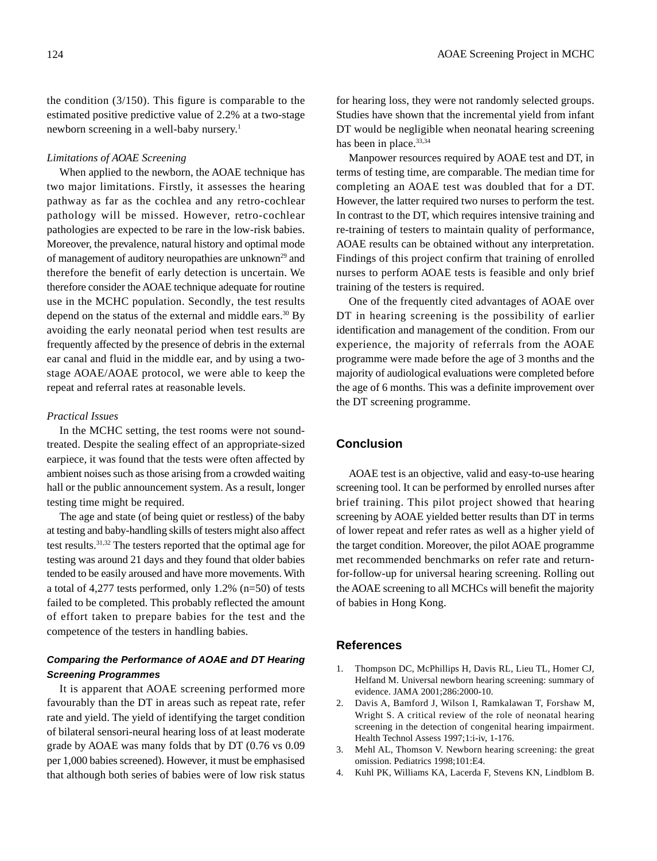## *Limitations of AOAE Screening*

When applied to the newborn, the AOAE technique has two major limitations. Firstly, it assesses the hearing pathway as far as the cochlea and any retro-cochlear pathology will be missed. However, retro-cochlear pathologies are expected to be rare in the low-risk babies. Moreover, the prevalence, natural history and optimal mode of management of auditory neuropathies are unknown<sup>29</sup> and therefore the benefit of early detection is uncertain. We therefore consider the AOAE technique adequate for routine use in the MCHC population. Secondly, the test results depend on the status of the external and middle ears.<sup>30</sup> By avoiding the early neonatal period when test results are frequently affected by the presence of debris in the external ear canal and fluid in the middle ear, and by using a twostage AOAE/AOAE protocol, we were able to keep the repeat and referral rates at reasonable levels.

## *Practical Issues*

In the MCHC setting, the test rooms were not soundtreated. Despite the sealing effect of an appropriate-sized earpiece, it was found that the tests were often affected by ambient noises such as those arising from a crowded waiting hall or the public announcement system. As a result, longer testing time might be required.

The age and state (of being quiet or restless) of the baby at testing and baby-handling skills of testers might also affect test results.31,32 The testers reported that the optimal age for testing was around 21 days and they found that older babies tended to be easily aroused and have more movements. With a total of 4,277 tests performed, only 1.2% (n=50) of tests failed to be completed. This probably reflected the amount of effort taken to prepare babies for the test and the competence of the testers in handling babies.

# *Comparing the Performance of AOAE and DT Hearing Screening Programmes*

It is apparent that AOAE screening performed more favourably than the DT in areas such as repeat rate, refer rate and yield. The yield of identifying the target condition of bilateral sensori-neural hearing loss of at least moderate grade by AOAE was many folds that by DT (0.76 vs 0.09 per 1,000 babies screened). However, it must be emphasised that although both series of babies were of low risk status

for hearing loss, they were not randomly selected groups. Studies have shown that the incremental yield from infant DT would be negligible when neonatal hearing screening has been in place.<sup>33,34</sup>

Manpower resources required by AOAE test and DT, in terms of testing time, are comparable. The median time for completing an AOAE test was doubled that for a DT. However, the latter required two nurses to perform the test. In contrast to the DT, which requires intensive training and re-training of testers to maintain quality of performance, AOAE results can be obtained without any interpretation. Findings of this project confirm that training of enrolled nurses to perform AOAE tests is feasible and only brief training of the testers is required.

One of the frequently cited advantages of AOAE over DT in hearing screening is the possibility of earlier identification and management of the condition. From our experience, the majority of referrals from the AOAE programme were made before the age of 3 months and the majority of audiological evaluations were completed before the age of 6 months. This was a definite improvement over the DT screening programme.

# **Conclusion**

AOAE test is an objective, valid and easy-to-use hearing screening tool. It can be performed by enrolled nurses after brief training. This pilot project showed that hearing screening by AOAE yielded better results than DT in terms of lower repeat and refer rates as well as a higher yield of the target condition. Moreover, the pilot AOAE programme met recommended benchmarks on refer rate and returnfor-follow-up for universal hearing screening. Rolling out the AOAE screening to all MCHCs will benefit the majority of babies in Hong Kong.

# **References**

- 1. Thompson DC, McPhillips H, Davis RL, Lieu TL, Homer CJ, Helfand M. Universal newborn hearing screening: summary of evidence. JAMA 2001;286:2000-10.
- 2. Davis A, Bamford J, Wilson I, Ramkalawan T, Forshaw M, Wright S. A critical review of the role of neonatal hearing screening in the detection of congenital hearing impairment. Health Technol Assess 1997;1:i-iv, 1-176.
- 3. Mehl AL, Thomson V. Newborn hearing screening: the great omission. Pediatrics 1998;101:E4.
- 4. Kuhl PK, Williams KA, Lacerda F, Stevens KN, Lindblom B.